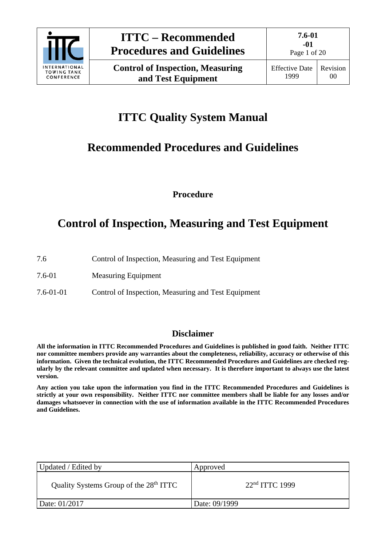

Page 1 of 20

# **ITTC Quality System Manual**

## **Recommended Procedures and Guidelines**

**Procedure**

## **Control of Inspection, Measuring and Test Equipment**

| 7.6 |  |                                                     |
|-----|--|-----------------------------------------------------|
|     |  | Control of Inspection, Measuring and Test Equipment |

7.6-01 Measuring Equipment

7.6-01-01 Control of Inspection, Measuring and Test Equipment

## **Disclaimer**

**All the information in ITTC Recommended Procedures and Guidelines is published in good faith. Neither ITTC nor committee members provide any warranties about the completeness, reliability, accuracy or otherwise of this information. Given the technical evolution, the ITTC Recommended Procedures and Guidelines are checked regularly by the relevant committee and updated when necessary. It is therefore important to always use the latest version.**

**Any action you take upon the information you find in the ITTC Recommended Procedures and Guidelines is strictly at your own responsibility. Neither ITTC nor committee members shall be liable for any losses and/or damages whatsoever in connection with the use of information available in the ITTC Recommended Procedures and Guidelines.**

| Updated / Edited by                                | Approved         |
|----------------------------------------------------|------------------|
| Quality Systems Group of the 28 <sup>th</sup> ITTC | $22nd ITTC$ 1999 |
| Date: 01/2017                                      | Date: 09/1999    |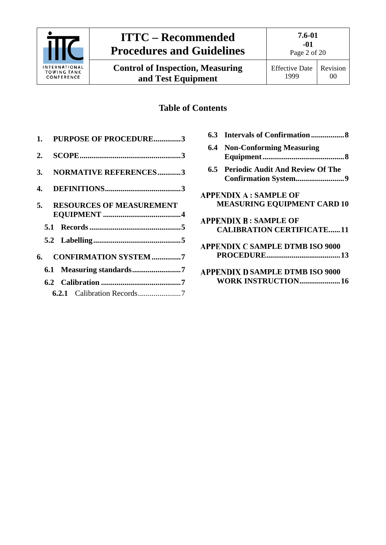

**Control of Inspection, Measuring and Test Equipment**

**7.6-01 -01** Page 2 of 20

## **Table of Contents**

|  | 1. PURPOSE OF PROCEDURE3    |  |
|--|-----------------------------|--|
|  |                             |  |
|  | 3. NORMATIVE REFERENCES3    |  |
|  |                             |  |
|  | 5. RESOURCES OF MEASUREMENT |  |
|  |                             |  |
|  |                             |  |
|  | 6. CONFIRMATION SYSTEM7     |  |
|  | 6.1 Measuring standards7    |  |
|  |                             |  |
|  |                             |  |

| 6.3 |                                        |
|-----|----------------------------------------|
|     | <b>6.4 Non-Conforming Measuring</b>    |
|     |                                        |
|     | 6.5 Periodic Audit And Review Of The   |
|     |                                        |
|     | <b>APPENDIX A : SAMPLE OF</b>          |
|     | <b>MEASURING EQUIPMENT CARD 10</b>     |
|     | <b>APPENDIX B: SAMPLE OF</b>           |
|     | <b>CALIBRATION CERTIFICATE11</b>       |
|     | <b>APPENDIX C SAMPLE DTMB ISO 9000</b> |
|     |                                        |
|     | <b>APPENDIX D SAMPLE DTMB ISO 9000</b> |
|     | <b>WORK INSTRUCTION 16</b>             |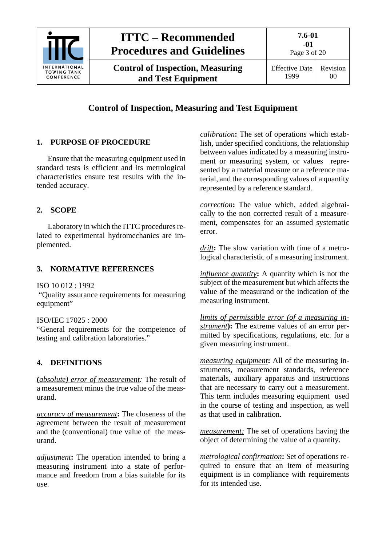

**Control of Inspection, Measuring and Test Equipment**

## **Control of Inspection, Measuring and Test Equipment**

### <span id="page-2-0"></span>**1. PURPOSE OF PROCEDURE**

Ensure that the measuring equipment used in standard tests is efficient and its metrological characteristics ensure test results with the intended accuracy.

### <span id="page-2-1"></span>**2. SCOPE**

Laboratory in which the ITTC procedures related to experimental hydromechanics are implemented.

### <span id="page-2-2"></span>**3. NORMATIVE REFERENCES**

ISO 10 012 : 1992

"Quality assurance requirements for measuring equipment"

ISO/IEC 17025 : 2000

"General requirements for the competence of testing and calibration laboratories."

### <span id="page-2-3"></span>**4. DEFINITIONS**

**(***absolute) error of measurement:* The result of a measurement minus the true value of the measurand.

*accuracy of measurement***:** The closeness of the agreement between the result of measurement and the (conventional) true value of the measurand.

*adjustment***:** The operation intended to bring a measuring instrument into a state of performance and freedom from a bias suitable for its use.

*calibration***:** The set of operations which establish, under specified conditions, the relationship between values indicated by a measuring instrument or measuring system, or values represented by a material measure or a reference material, and the corresponding values of a quantity represented by a reference standard.

*correction***:** The value which, added algebraically to the non corrected result of a measurement, compensates for an assumed systematic error.

*drift***:** The slow variation with time of a metrological characteristic of a measuring instrument.

*influence quantity***:** A quantity which is not the subject of the measurement but which affects the value of the measurand or the indication of the measuring instrument.

*limits of permissible error (of a measuring instrument***):** The extreme values of an error permitted by specifications, regulations, etc. for a given measuring instrument.

*measuring equipment***:** All of the measuring instruments, measurement standards, reference materials, auxiliary apparatus and instructions that are necessary to carry out a measurement. This term includes measuring equipment used in the course of testing and inspection, as well as that used in calibration.

*measurement:* The set of operations having the object of determining the value of a quantity.

*metrological confirmation***:** Set of operations required to ensure that an item of measuring equipment is in compliance with requirements for its intended use.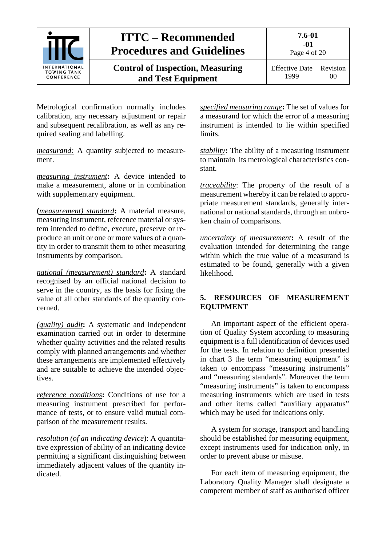

Metrological confirmation normally includes calibration, any necessary adjustment or repair and subsequent recalibration, as well as any required sealing and labelling.

*measurand:* A quantity subjected to measurement.

*measuring instrument***:** A device intended to make a measurement, alone or in combination with supplementary equipment.

**(***measurement) standard***:** A material measure, measuring instrument, reference material or system intended to define, execute, preserve or reproduce an unit or one or more values of a quantity in order to transmit them to other measuring instruments by comparison.

*national (measurement) standard***:** A standard recognised by an official national decision to serve in the country, as the basis for fixing the value of all other standards of the quantity concerned.

*(quality) audit***:** A systematic and independent examination carried out in order to determine whether quality activities and the related results comply with planned arrangements and whether these arrangements are implemented effectively and are suitable to achieve the intended objectives.

*reference conditions***:** Conditions of use for a measuring instrument prescribed for performance of tests, or to ensure valid mutual comparison of the measurement results.

*resolution (of an indicating device*): A quantitative expression of ability of an indicating device permitting a significant distinguishing between immediately adjacent values of the quantity indicated.

*specified measuring range***:** The set of values for a measurand for which the error of a measuring instrument is intended to lie within specified limits.

*stability***:** The ability of a measuring instrument to maintain its metrological characteristics constant.

*traceability*: The property of the result of a measurement whereby it can be related to appropriate measurement standards, generally international or national standards, through an unbroken chain of comparisons.

*uncertainty of measurement***:** A result of the evaluation intended for determining the range within which the true value of a measurand is estimated to be found, generally with a given likelihood.

### <span id="page-3-0"></span>**5. RESOURCES OF MEASUREMENT EQUIPMENT**

An important aspect of the efficient operation of Quality System according to measuring equipment is a full identification of devices used for the tests. In relation to definition presented in chart 3 the term "measuring equipment" is taken to encompass "measuring instruments" and "measuring standards". Moreover the term "measuring instruments" is taken to encompass measuring instruments which are used in tests and other items called "auxiliary apparatus" which may be used for indications only.

A system for storage, transport and handling should be established for measuring equipment, except instruments used for indication only, in order to prevent abuse or misuse.

For each item of measuring equipment, the Laboratory Quality Manager shall designate a competent member of staff as authorised officer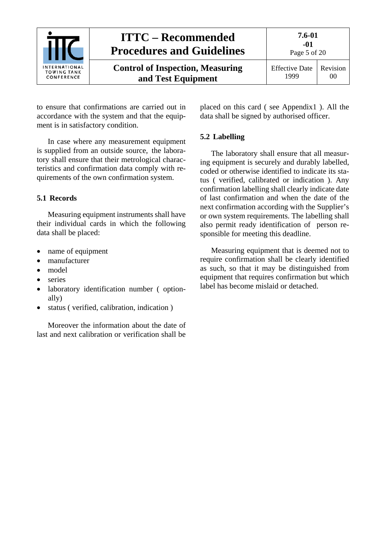

to ensure that confirmations are carried out in accordance with the system and that the equipment is in satisfactory condition.

In case where any measurement equipment is supplied from an outside source, the laboratory shall ensure that their metrological characteristics and confirmation data comply with requirements of the own confirmation system.

### <span id="page-4-0"></span>**5.1 Records**

Measuring equipment instruments shall have their individual cards in which the following data shall be placed:

- name of equipment
- manufacturer
- model
- series
- laboratory identification number ( optionally)
- status ( verified, calibration, indication )

Moreover the information about the date of last and next calibration or verification shall be placed on this card ( see Appendix1 ). All the data shall be signed by authorised officer.

### <span id="page-4-1"></span>**5.2 Labelling**

The laboratory shall ensure that all measuring equipment is securely and durably labelled, coded or otherwise identified to indicate its status ( verified, calibrated or indication ). Any confirmation labelling shall clearly indicate date of last confirmation and when the date of the next confirmation according with the Supplier's or own system requirements. The labelling shall also permit ready identification of person responsible for meeting this deadline.

Measuring equipment that is deemed not to require confirmation shall be clearly identified as such, so that it may be distinguished from equipment that requires confirmation but which label has become mislaid or detached.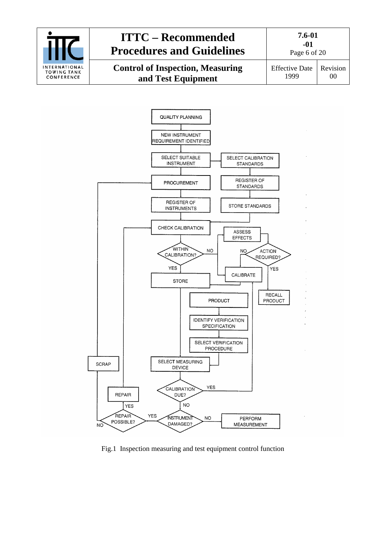



Fig.1 Inspection measuring and test equipment control function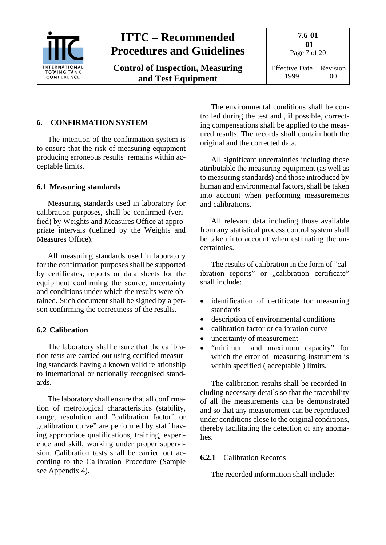

**Control of Inspection, Measuring and Test Equipment**

**7.6-01 -01**

Page 7 of 20

Effective Date 1999 Revision 00

### <span id="page-6-0"></span>**6. CONFIRMATION SYSTEM**

The intention of the confirmation system is to ensure that the risk of measuring equipment producing erroneous results remains within acceptable limits.

#### <span id="page-6-1"></span>**6.1 Measuring standards**

Measuring standards used in laboratory for calibration purposes, shall be confirmed (verified) by Weights and Measures Office at appropriate intervals (defined by the Weights and Measures Office).

All measuring standards used in laboratory for the confirmation purposes shall be supported by certificates, reports or data sheets for the equipment confirming the source, uncertainty and conditions under which the results were obtained. Such document shall be signed by a person confirming the correctness of the results.

### <span id="page-6-2"></span>**6.2 Calibration**

The laboratory shall ensure that the calibration tests are carried out using certified measuring standards having a known valid relationship to international or nationally recognised standards.

The laboratory shall ensure that all confirmation of metrological characteristics (stability, range, resolution and "calibration factor" or "calibration curve" are performed by staff having appropriate qualifications, training, experience and skill, working under proper supervision. Calibration tests shall be carried out according to the Calibration Procedure (Sample see Appendix 4).

The environmental conditions shall be controlled during the test and , if possible, correcting compensations shall be applied to the measured results. The records shall contain both the original and the corrected data.

All significant uncertainties including those attributable the measuring equipment (as well as to measuring standards) and those introduced by human and environmental factors, shall be taken into account when performing measurements and calibrations.

All relevant data including those available from any statistical process control system shall be taken into account when estimating the uncertainties.

The results of calibration in the form of "calibration reports" or "calibration certificate" shall include:

- identification of certificate for measuring standards
- description of environmental conditions
- calibration factor or calibration curve
- uncertainty of measurement
- "minimum and maximum capacity" for which the error of measuring instrument is within specified ( acceptable ) limits.

The calibration results shall be recorded including necessary details so that the traceability of all the measurements can be demonstrated and so that any measurement can be reproduced under conditions close to the original conditions, thereby facilitating the detection of any anomalies.

#### <span id="page-6-3"></span>**6.2.1** Calibration Records

The recorded information shall include: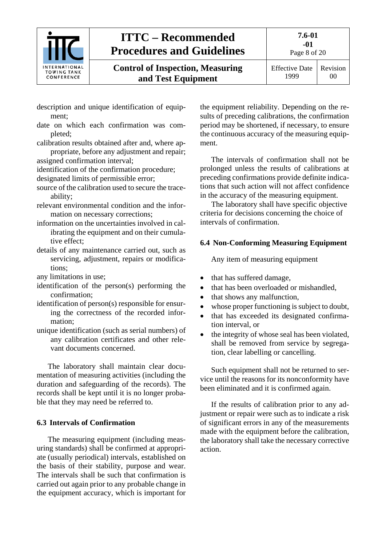

**Control of Inspection, Measuring and Test Equipment**

Page 8 of 20

- description and unique identification of equipment;
- date on which each confirmation was completed;
- calibration results obtained after and, where appropriate, before any adjustment and repair; assigned confirmation interval;
- identification of the confirmation procedure; designated limits of permissible error;
- source of the calibration used to secure the traceability;
- relevant environmental condition and the information on necessary corrections;
- information on the uncertainties involved in calibrating the equipment and on their cumulative effect;
- details of any maintenance carried out, such as servicing, adjustment, repairs or modifications;

any limitations in use;

- identification of the person(s) performing the confirmation;
- identification of person(s) responsible for ensuring the correctness of the recorded information;
- unique identification (such as serial numbers) of any calibration certificates and other relevant documents concerned.

The laboratory shall maintain clear documentation of measuring activities (including the duration and safeguarding of the records). The records shall be kept until it is no longer probable that they may need be referred to.

### <span id="page-7-0"></span>**6.3 Intervals of Confirmation**

The measuring equipment (including measuring standards) shall be confirmed at appropriate (usually periodical) intervals, established on the basis of their stability, purpose and wear. The intervals shall be such that confirmation is carried out again prior to any probable change in the equipment accuracy, which is important for the equipment reliability. Depending on the results of preceding calibrations, the confirmation period may be shortened, if necessary, to ensure the continuous accuracy of the measuring equipment.

The intervals of confirmation shall not be prolonged unless the results of calibrations at preceding confirmations provide definite indications that such action will not affect confidence in the accuracy of the measuring equipment.

The laboratory shall have specific objective criteria for decisions concerning the choice of intervals of confirmation.

### <span id="page-7-1"></span>**6.4 Non-Conforming Measuring Equipment**

Any item of measuring equipment

- that has suffered damage,
- that has been overloaded or mishandled,
- that shows any malfunction,
- whose proper functioning is subject to doubt,
- that has exceeded its designated confirmation interval, or
- the integrity of whose seal has been violated, shall be removed from service by segregation, clear labelling or cancelling.

Such equipment shall not be returned to service until the reasons for its nonconformity have been eliminated and it is confirmed again.

If the results of calibration prior to any adjustment or repair were such as to indicate a risk of significant errors in any of the measurements made with the equipment before the calibration, the laboratory shall take the necessary corrective action.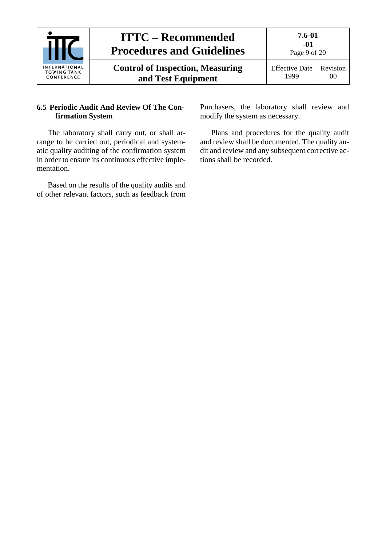

### <span id="page-8-0"></span>**6.5 Periodic Audit And Review Of The Confirmation System**

The laboratory shall carry out, or shall arrange to be carried out, periodical and systematic quality auditing of the confirmation system in order to ensure its continuous effective implementation.

Based on the results of the quality audits and of other relevant factors, such as feedback from Purchasers, the laboratory shall review and modify the system as necessary.

Plans and procedures for the quality audit and review shall be documented. The quality audit and review and any subsequent corrective actions shall be recorded.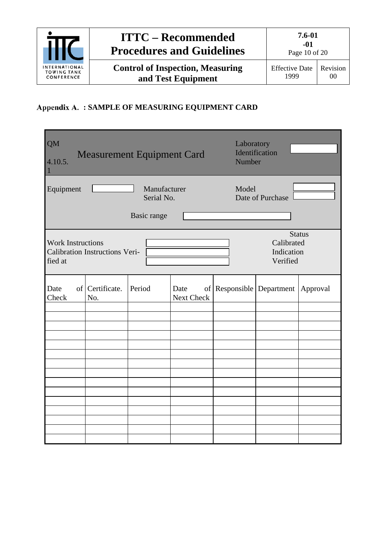

## <span id="page-9-0"></span>**: SAMPLE OF MEASURING EQUIPMENT CARD**

| <b>QM</b><br>4.10.5.                |                                       | <b>Measurement Equipment Card</b>         |                    | Laboratory<br>Number | Identification                       |               |
|-------------------------------------|---------------------------------------|-------------------------------------------|--------------------|----------------------|--------------------------------------|---------------|
| Equipment                           |                                       | Manufacturer<br>Serial No.<br>Basic range |                    | Model                | Date of Purchase                     |               |
| <b>Work Instructions</b><br>fied at | <b>Calibration Instructions Veri-</b> |                                           |                    |                      | Calibrated<br>Indication<br>Verified | <b>Status</b> |
| Date<br>Check                       | of Certificate.<br>No.                | Period                                    | Date<br>Next Check |                      | of Responsible Department Approval   |               |
|                                     |                                       |                                           |                    |                      |                                      |               |
|                                     |                                       |                                           |                    |                      |                                      |               |
|                                     |                                       |                                           |                    |                      |                                      |               |
|                                     |                                       |                                           |                    |                      |                                      |               |
|                                     |                                       |                                           |                    |                      |                                      |               |
|                                     |                                       |                                           |                    |                      |                                      |               |
|                                     |                                       |                                           |                    |                      |                                      |               |
|                                     |                                       |                                           |                    |                      |                                      |               |
|                                     |                                       |                                           |                    |                      |                                      |               |
|                                     |                                       |                                           |                    |                      |                                      |               |
|                                     |                                       |                                           |                    |                      |                                      |               |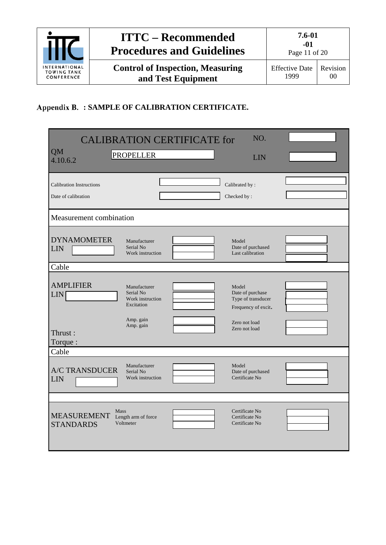

## <span id="page-10-0"></span>**: SAMPLE OF CALIBRATION CERTIFICATE.**

|                                                        |                                                             | <b>CALIBRATION CERTIFICATE for</b> | NO.                                                                    |  |
|--------------------------------------------------------|-------------------------------------------------------------|------------------------------------|------------------------------------------------------------------------|--|
| <b>QM</b><br>4.10.6.2                                  | <b>PROPELLER</b>                                            |                                    | LIN                                                                    |  |
| <b>Calibration Instructions</b><br>Date of calibration |                                                             |                                    | Calibrated by:<br>Checked by:                                          |  |
| Measurement combination                                |                                                             |                                    |                                                                        |  |
| <b>DYNAMOMETER</b><br><b>LIN</b>                       | Manufacturer<br>Serial No<br>Work instruction               |                                    | Model<br>Date of purchased<br>Last calibration                         |  |
| Cable                                                  |                                                             |                                    |                                                                        |  |
| <b>AMPLIFIER</b><br><b>LIN</b>                         | Manufacturer<br>Serial No<br>Work instruction<br>Excitation |                                    | Model<br>Date of purchase<br>Type of transducer<br>Frequency of excit. |  |
| Thrust:<br>Torque:                                     | Amp. gain<br>Amp. gain                                      |                                    | Zero not load<br>Zero not load                                         |  |
| Cable                                                  |                                                             |                                    |                                                                        |  |
| <b>A/C TRANSDUCER</b><br>LIN                           | Manufacturer<br>Serial No<br>Work instruction               |                                    | Model<br>Date of purchased<br>Certificate No                           |  |
|                                                        |                                                             |                                    |                                                                        |  |
| <b>Mass</b><br><b>MEASUREMENT</b><br><b>STANDARDS</b>  | Length arm of force<br>Voltmeter                            |                                    | Certificate No<br>Certificate No<br>Certificate No                     |  |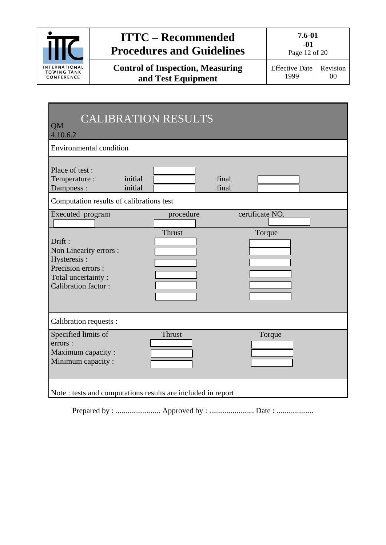

**Control of Inspection, Measuring and Test Equipment**

**-01** Page 12 of 20

Effective Date 1999 Revision 00

| <b>QM</b><br>4.10.6.2                                                                                                                         | <b>CALIBRATION RESULTS</b> |                           |  |
|-----------------------------------------------------------------------------------------------------------------------------------------------|----------------------------|---------------------------|--|
| Environmental condition                                                                                                                       |                            |                           |  |
| Place of test:<br>Temperature :<br>initial<br>initial<br>Dampness :                                                                           |                            | final<br>final            |  |
| Computation results of calibrations test                                                                                                      |                            |                           |  |
| Executed program<br>Drift:<br>Non Linearity errors :<br>Hysteresis:<br>Precision errors :<br>Total uncertainty:<br><b>Calibration factor:</b> | procedure<br>Thrust        | certificate NO.<br>Torque |  |
| Calibration requests :                                                                                                                        |                            |                           |  |
| Specified limits of<br>errors :<br>Maximum capacity :<br>Minimum capacity:                                                                    | <b>Thrust</b>              | Torque                    |  |
| Note : tests and computations results are included in report                                                                                  |                            |                           |  |

Prepared by : ....................... Approved by : ....................... Date : ...................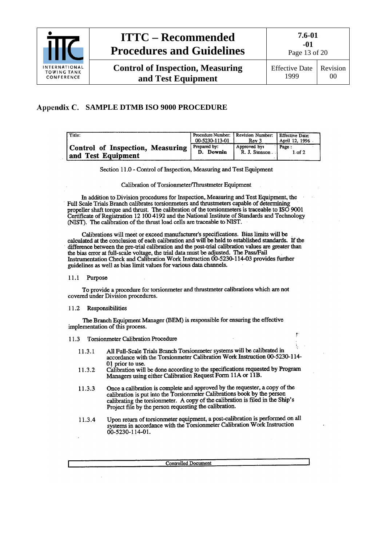

**-01** Page 13 of 20

### **SAMPLE DTMB ISO 9000 PROCEDURE**

<span id="page-12-0"></span>

| Title:                                                 | Procedure Number: Revision Number:<br>00-5230-113-01 | Rev 3                         | Effective Date:<br>1 April 12, 1996 |
|--------------------------------------------------------|------------------------------------------------------|-------------------------------|-------------------------------------|
| Control of Inspection, Measuring<br>and Test Equipment | Prepared by:<br>Downin<br>D.                         | Approved by:<br>R. J. Stenson | Page:<br>$1.$ of $2.$               |

Section 11.0 - Control of Inspection, Measuring and Test Equipment

Calibration of Torsionmeter/Thrustmeter Equipment

In addition to Division procedures for Inspection, Measuring and Test Equipment, the Full Scale Trials Branch calibrates torsionmeters and thrustmeters capable of determining propeller shaft torque and thrust. The calibration of the torsionmeters is traceable to ISO 9001 Certificate of Registration 12 100 4192 and the National Institute of Standards and Technology (NIST). The calibration of the thrust load cells are traceable to NIST.

Calibrations will meet or exceed manufacturer's specifications. Bias limits will be calculated at the conclusion of each calibration and will be held to established standards. If the difference between the pre-trial calibration and the post-trial calibration values are greater than the bias error at full-scale voltage, the trial data must be adjusted. The Pass/Fail Instrumentation Check and Calibration Work Instruction 00-5230-114-03 provides further guidelines as well as bias limit values for various data channels.

11.1 Purpose

To provide a procedure for torsionmeter and thrustmeter calibrations which are not covered under Division procedures.

#### 11.2 Responsibilities

The Branch Equipment Manager (BEM) is responsible for ensuring the effective implementation of this process.

11.3 Torsionmeter Calibration Procedure

- All Full-Scale Trials Branch Torsionmeter systems will be calibrated in 11.3.1 accordance with the Torsionmeter Calibration Work Instruction 00-5230-114-01 prior to use.
- Calibration will be done according to the specifications requested by Program 11.3.2 Managers using either Calibration Request Form 11A or 11B.
- Once a calibration is complete and approved by the requester, a copy of the 11.3.3 calibration is put into the Torsionmeter Calibrations book by the person calibrating the torsionmeter. A copy of the calibration is filed in the Ship's Project file by the person requesting the calibration.
- Upon return of torsionmeter equipment, a post-calibration is performed on all 11.3.4 systems in accordance with the Torsionmeter Calibration Work Instruction 00-5230-114-01.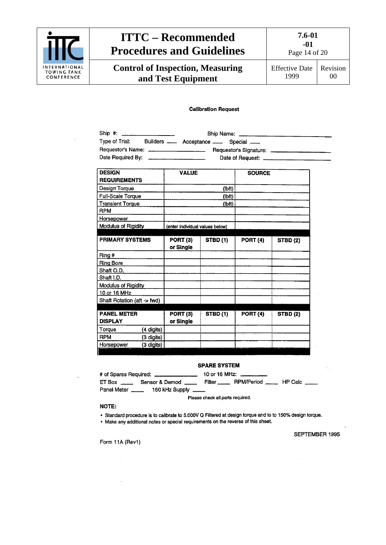

**Control of Inspection, Measuring and Test Equipment**

**7.6-01 -01**

Page 14 of 20

Effective Date 1999 Revision 00

#### **Calibration Request**

| Ship #: _______________________            |  |                                                         |  |
|--------------------------------------------|--|---------------------------------------------------------|--|
|                                            |  | Type of Trial: Builders ____ Acceptance ___ Special ___ |  |
|                                            |  |                                                         |  |
| Date Required By: ________________________ |  |                                                         |  |
|                                            |  |                                                         |  |

| <b>DESIGN</b>               | <b>VALUE</b>                    |                 | <b>SOURCE</b>   |                 |
|-----------------------------|---------------------------------|-----------------|-----------------|-----------------|
| <b>REQUIREMENTS</b>         |                                 |                 |                 |                 |
| Design Torque               |                                 | (lbft)          |                 |                 |
| Full-Scale Torque           |                                 | (Ibft)          |                 |                 |
| <b>Transient Torque</b>     |                                 | (lbft)          |                 |                 |
| <b>RPM</b>                  |                                 |                 |                 |                 |
| <b>Horsepower</b>           |                                 |                 |                 |                 |
| <b>Modulus of Rigidity</b>  | (enter individual values below) |                 |                 |                 |
|                             |                                 |                 |                 |                 |
| PRIMARY SYSTEMS             | PORT (3)                        | <b>STBD</b> (1) | PORT (4)        | <b>STBD (2)</b> |
|                             | or Single                       |                 |                 |                 |
| Ring #                      |                                 |                 |                 |                 |
| <b>Ring Bore</b>            |                                 |                 |                 |                 |
| Shaft O.D.                  |                                 |                 |                 |                 |
| Shaft I.D.                  |                                 |                 |                 |                 |
| Modulus of Rigidity         |                                 |                 |                 |                 |
| 10 or 16 MHz                |                                 |                 |                 |                 |
| Shaft Rotation (aft -> fwd) |                                 |                 |                 |                 |
|                             |                                 |                 |                 |                 |
| <b>PANEL METER</b>          | PORT <sub>(3)</sub>             | <b>STBD (1)</b> | <b>PORT (4)</b> | <b>STBD (2)</b> |
| <b>DISPLAY</b>              | or Single                       |                 |                 |                 |
| Torque<br>(4 digits)        |                                 |                 |                 |                 |
| <b>RPM</b><br>(3 digits)    |                                 |                 |                 |                 |
| Horsepower<br>(3 digits)    |                                 |                 |                 |                 |

#### **SPARE SYSTEM**

|             | # of Spares Required: _________________                                                 | 10 or 16 MHz: __________ |  |
|-------------|-----------------------------------------------------------------------------------------|--------------------------|--|
|             | ET Box ________ Sensor & Demod ________ Filter _______ RPM/Period _______ HP Calc _____ |                          |  |
| Panel Meter | 160 kHz Supply ____                                                                     |                          |  |

Please check all parts required.

#### NOTE:

- Standard procedure is to calibrate to 5.000V Q Filtered at design torque and to to 150% design torque.
- . Make any additional notes or special requirements on the reverse of this sheet.

SEPTEMBER 1995

Form 11A (Rev1)

 $\mathcal{L}_{\mathcal{A}}$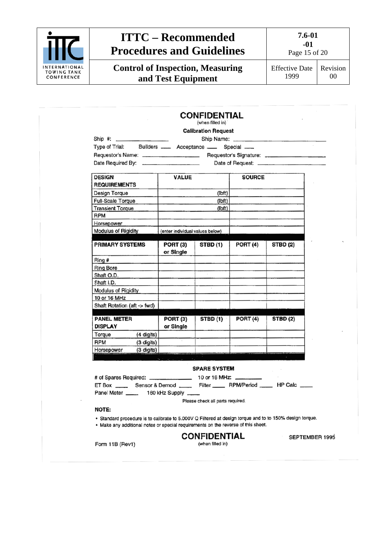

**Control of Inspection, Measuring and Test Equipment**

**7.6-01**

**-01** Page 15 of 20

Effective Date 1999 Revision 00

|                                                                                                                                                                                               |                                 | <b>CONFIDENTIAL</b><br>(when filled in) |               |                 |                       |
|-----------------------------------------------------------------------------------------------------------------------------------------------------------------------------------------------|---------------------------------|-----------------------------------------|---------------|-----------------|-----------------------|
|                                                                                                                                                                                               |                                 | <b>Calibration Request</b>              |               |                 |                       |
|                                                                                                                                                                                               |                                 |                                         |               |                 |                       |
| Type of Trial: Builders ____ Acceptance ___ Special ___                                                                                                                                       |                                 |                                         |               |                 |                       |
| Requestor's Name: ______________________ Requestor's Signature: ________________                                                                                                              |                                 |                                         |               |                 |                       |
|                                                                                                                                                                                               |                                 |                                         |               |                 |                       |
|                                                                                                                                                                                               |                                 |                                         |               |                 |                       |
| <b>DESIGN</b>                                                                                                                                                                                 | VALUE                           |                                         | <b>SOURCE</b> |                 |                       |
| <b>REQUIREMENTS</b>                                                                                                                                                                           |                                 |                                         |               |                 |                       |
| Design Torque                                                                                                                                                                                 |                                 | (lbf)                                   |               |                 |                       |
| Full-Scale Torque                                                                                                                                                                             |                                 | (lbf)                                   |               |                 |                       |
| <b>Transient Torque</b>                                                                                                                                                                       |                                 | (lbf)                                   |               |                 |                       |
| RPM                                                                                                                                                                                           |                                 |                                         |               |                 |                       |
| Horsepower                                                                                                                                                                                    |                                 |                                         |               |                 |                       |
| Modulus of Rigidity                                                                                                                                                                           | (enter individual values below) |                                         |               |                 |                       |
| <b>PRIMARY SYSTEMS</b>                                                                                                                                                                        | PORT (3)                        |                                         |               | STBD (2)        |                       |
|                                                                                                                                                                                               | or Single                       | STBD(1)                                 | PORT (4)      |                 |                       |
| Ring #                                                                                                                                                                                        |                                 |                                         |               |                 |                       |
| <b>Ring Bore</b>                                                                                                                                                                              |                                 |                                         |               |                 |                       |
| Shaft O.D.                                                                                                                                                                                    |                                 |                                         |               |                 |                       |
| Shaft I.D.                                                                                                                                                                                    |                                 |                                         |               |                 |                       |
| Modulus of Rigidity                                                                                                                                                                           |                                 |                                         |               |                 |                       |
| 10 or 16 MHz                                                                                                                                                                                  |                                 |                                         |               |                 |                       |
| Shaft Rotation (aft -> fwd)                                                                                                                                                                   |                                 |                                         |               |                 |                       |
|                                                                                                                                                                                               |                                 |                                         |               |                 |                       |
| <b>PANEL METER</b>                                                                                                                                                                            | <b>PORT (3)</b>                 | STBD(1)                                 | PORT (4)      | <b>STBD (2)</b> |                       |
| <b>DISPLAY</b>                                                                                                                                                                                | or Single                       |                                         |               |                 |                       |
| $(4 \text{ digits})$<br>Torque<br><b>RPM</b>                                                                                                                                                  |                                 |                                         |               |                 |                       |
| (3 digits)<br>(3 digits)<br>Horsepower                                                                                                                                                        |                                 |                                         |               |                 |                       |
|                                                                                                                                                                                               |                                 |                                         |               |                 |                       |
|                                                                                                                                                                                               |                                 |                                         |               |                 |                       |
|                                                                                                                                                                                               |                                 | <b>SPARE SYSTEM</b>                     |               |                 |                       |
|                                                                                                                                                                                               |                                 |                                         |               |                 |                       |
|                                                                                                                                                                                               |                                 |                                         |               |                 |                       |
| Panel Meter ______ 160 kHz Supply _                                                                                                                                                           |                                 |                                         |               |                 |                       |
|                                                                                                                                                                                               |                                 | Please check all parts required.        |               |                 |                       |
| <b>NOTE:</b>                                                                                                                                                                                  |                                 |                                         |               |                 |                       |
| • Standard procedure is to calibrate to 5.000V Q Filtered at design torque and to to 150% design torque.<br>• Make any additional notes or special requirements on the reverse of this sheet. |                                 |                                         |               |                 |                       |
|                                                                                                                                                                                               |                                 | <b>CONFIDENTIAL</b>                     |               |                 | <b>SEPTEMBER 1995</b> |
|                                                                                                                                                                                               |                                 |                                         |               |                 |                       |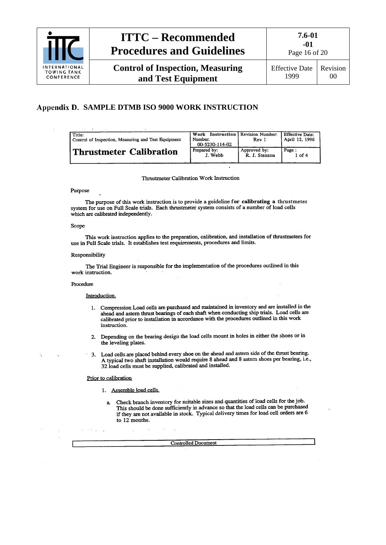

Page 16 of 20

Effective Date 1999 Revision 00

### <span id="page-15-0"></span>**SAMPLE DTMB ISO 9000 WORK INSTRUCTION**

| Title:<br>Control of Inspection, Measuring and Test Equipment | Work<br>Number.<br>00-5230-114-02 | <b>Instruction</b> Revision Number:<br>Rev 1 | Effective Date:<br>April 12, 1996 |
|---------------------------------------------------------------|-----------------------------------|----------------------------------------------|-----------------------------------|
| <b>Thrustmeter Calibration</b>                                | Prepared by:                      | Approved by:                                 | Page:                             |
|                                                               | J. Webb                           | R. J. Stenson                                | 1 of 4                            |

Thrustmeter Calibration Work Instruction

#### Purpose

The purpose of this work instruction is to provide a guideline for calibrating a thrustmeter system for use on Full Scale trials. Each thrustmeter system consists of a number of load cells which are calibrated independently.

#### Scope

This work instruction applies to the preparation, calibration, and installation of thrustmeters for use in Full Scale trials. It establishes test requirements, procedures and limits.

#### Responsibility

The Trial Engineer is responsible for the implementation of the procedures outlined in this work instruction.

#### Procedure

#### Introduction.

- 1. Compression Load cells are purchased and maintained in inventory and are installed in the compression Loan cens are parenasce and manualmed in aroundry and the momentum are about a step calibrated prior to installation in accordance with the procedures outlined in this work instruction.
- 2. Depending on the bearing design the load cells mount in holes in either the shoes or in the leveling plates.
- 3. Load cells are placed behind every shoe on the ahead and astern side of the thrust bearing. A typical two shaft installation would require 8 ahead and 8 astern shoes per bearing, i.e., 32 load cells must be supplied, calibrated and installed.

#### Prior to calibration

- 1. Assemble load cells.
	- Check branch inventory for suitable sizes and quantities of load cells for the job.  $\mathbf{a}$ This should be done sufficiently in advance so that the load cells can be purchased if they are not available in stock. Typical delivery times for load cell orders are 6 to 12 months.

**Controlled Document**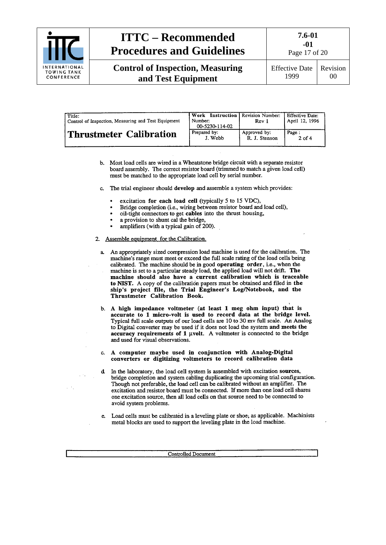

**-01** Page 17 of 20

| Title:<br>Control of Inspection, Measuring and Test Equipment | <b>Work</b> Instruction   Revision Number:<br>Number:<br>00-5230-114-02 | Rev 1         | Effective Date:<br>April 12, 1996 |
|---------------------------------------------------------------|-------------------------------------------------------------------------|---------------|-----------------------------------|
| <b>Thrustmeter Calibration</b>                                | Prepared by:                                                            | Approved by:  | Page:                             |
|                                                               | J. Webb                                                                 | R. J. Stenson | $2$ of 4                          |

- b. Most load cells are wired in a Wheatstone bridge circuit with a separate resistor board assembly. The correct resistor board (trimmed to match a given load cell) must be matched to the appropriate load cell by serial number.
- c. The trial engineer should develop and assemble a system which provides:
	- excitation for each load cell (typically 5 to 15 VDC).
	- Bridge completion (i.e., wiring between resistor board and load cell),
	- oil-tight connectors to get cables into the thrust housing,
	- a provision to shunt cal the bridge,
	- amplifiers (with a typical gain of 200).
- 2. Assemble equipment for the Calibration.
	- a. An appropriately sized compression load machine is used for the calibration. The machine's range must meet or exceed the full scale rating of the load cells being calibrated. The machine should be in good operating order, i.e., when the machine is set to a particular steady load, the applied load will not drift. The machine should also have a current calibration which is traceable to NIST. A copy of the calibration papers must be obtained and filed in the ship's project file, the Trial Engineer's Log/Notebook, and the Thrustmeter Calibration Book.
	- b. A high impedance voltmeter (at least 1 meg ohm input) that is accurate to 1 micro-volt is used to record data at the bridge level. Typical full scale outputs of our load cells are 10 to 30 mv full scale. An Analog to Digital converter may be used if it does not load the system and meets the accuracy requirements of 1 µvolt. A voltmeter is connected to the bridge and used for visual observations.
	- c. A computer maybe used in conjunction with Analog-Digital converters or digitizing voltmeters to record calibration data
	- d In the laboratory, the load cell system is assembled with excitation sources, bridge completion and system cabling duplicating the upcoming trial configuration. Though not preferable, the load cell can be calibrated without an amplifier. The excitation and resistor board must be connected. If more than one load cell shares one excitation source, then all load cells on that source need to be connected to avoid system problems.
	- Load cells must be calibrated in a leveling plate or shoe, as applicable. Machinists metal blocks are used to support the leveling plate in the load machine.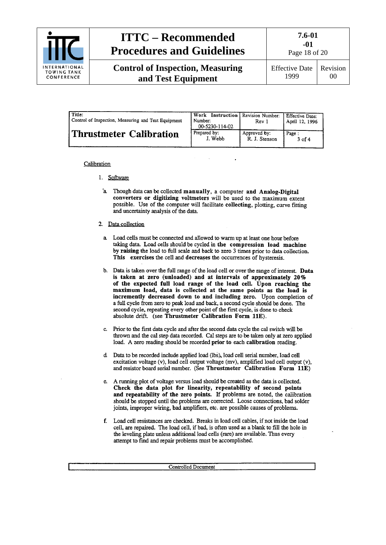

**Control of Inspection, Measuring and Test Equipment**

**7.6-01 -01**

Page 18 of 20

Effective Date 1999 Revision 00

| l Title:<br>Control of Inspection, Measuring and Test Equipment | Work<br>Number:<br>00-5230-114-02 | <b>Instruction</b> Revision Number:<br>Rev 1 | Effective Date:<br>April 12, 1996 |
|-----------------------------------------------------------------|-----------------------------------|----------------------------------------------|-----------------------------------|
| Thrustmeter Calibration                                         | Prepared by:                      | Approved by:                                 | Page:                             |
|                                                                 | J. Webb                           | R. J. Stenson                                | $3$ of $4$                        |

#### Calibration

- 1. Software
	- a. Though data can be collected manually, a computer and Analog-Digital converters or digitizing voltmeters will be used to the maximum extent possible. Use of the computer will facilitate collecting, plotting, curve fitting and uncertainty analysis of the data.
- 2. Data collection
	- a. Load cells must be connected and allowed to warm up at least one hour before taking data. Load cells should be cycled in the compression load machine by raising the load to full scale and back to zero 3 times prior to data collection. This exercises the cell and decreases the occurrences of hysteresis.
	- b. Data is taken over the full range of the load cell or over the range of interest. Data is taken at zero (unloaded) and at intervals of approximately 20% of the expected full load range of the load cell. Upon reaching the maximum load, data is collected at the same points as the load is incremently decreased down to and including zero. Upon completion of a full cycle from zero to peak load and back, a second cycle should be done. The second cycle, repeating every other point of the first cycle, is done to check absolute drift. (see Thrustmeter Calibration Form 11E).
	- c. Prior to the first data cycle and after the second data cycle the cal switch will be thrown and the cal step data recorded. Cal steps are to be taken only at zero applied load. A zero reading should be recorded prior to each calibration reading.
	- d Data to be recorded include applied load (lbs), load cell serial number, load cell excitation voltage (v), load cell output voltage (mv), amplified load cell output (v), and resistor board serial number. (See Thrustmeter Calibration Form 11E)
	- e. A running plot of voltage versus load should be created as the data is collected. Check the data plot for linearity, repeatability of second points and repeatability of the zero points. If problems are noted, the calibration should be stopped until the problems are corrected. Loose connections, bad solder joints, improper wiring, bad amplifiers, etc. are possible causes of problems.
	- f. Load cell resistances are checked. Breaks in load cell cables, if not inside the load cell, are repaired. The load cell, if bad, is often used as a blank to fill the hole in the leveling plate unless additional load cells (rare) are available. Thus every attempt to find and repair problems must be accomplished.

**Controlled Document**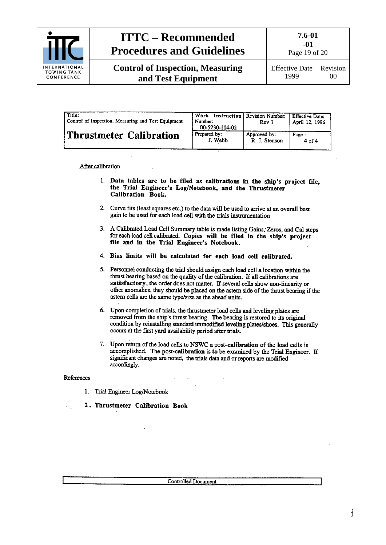

**Control of Inspection, Measuring and Test Equipment**

Page 19 of 20

Effective Date 1999 Revision 00

| Title:<br>Control of Inspection, Measuring and Test Equipment | Work Instruction Revision Number:<br>Number:<br>00-5230-114-02 | Rev 1         | <b>Effective Date:</b><br>  April 12, 1996 |
|---------------------------------------------------------------|----------------------------------------------------------------|---------------|--------------------------------------------|
| Thrustmeter Calibration                                       | Prepared by:                                                   | Approved by:  | Page:                                      |
|                                                               | J. Webb                                                        | R. J. Stenson | 4 of 4                                     |

After calibration

- 1. Data tables are to be filed as calibrations in the ship's project file, the Trial Engineer's Log/Notebook, and the Thrustmeter Calibration Book.
- 2. Curve fits (least squares etc.) to the data will be used to arrive at an overall best gain to be used for each load cell with the trials instrumentation
- 3. A Calibrated Load Cell Summary table is made listing Gains, Zeros, and Cal steps for each load cell calibrated. Copies will be filed in the ship's project file and in the Trial Engineer's Notebook.
- 4. Bias limits will be calculated for each load cell calibrated.
- 5. Personnel conducting the trial should assign each load cell a location within the thrust bearing based on the quality of the calibration. If all calibrations are satisfactory, the order does not matter. If several cells show non-linearity or other anomalies, they should be placed on the astern side of the thrust bearing if the astern cells are the same type/size as the ahead units.
- 6. Upon completion of trials, the thrustmeter load cells and leveling plates are removed from the ship's thrust bearing. The bearing is restored to its original condition by reinstalling standard unmodified leveling plates/shoes. This generally occurs at the first yard availability period after trials.
- 7. Upon return of the load cells to NSWC a post-calibration of the load cells is accomplished. The post-calibration is to be examined by the Trial Engineer. If significant changes are noted, the trials data and or reports are modified accordingly.

#### References

in L

- 1. Trial Engineer Log/Notebook
- 2. Thrustmeter Calibration Book